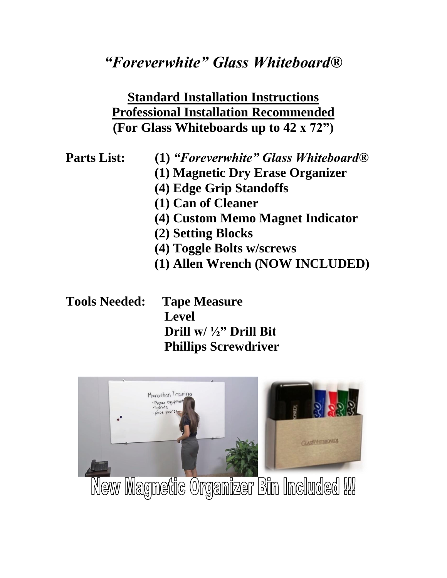## *"Foreverwhite" Glass Whiteboard®*

## **Standard Installation Instructions Professional Installation Recommended (For Glass Whiteboards up to 42 x 72")**

**Parts List: (1)** *"Foreverwhite" Glass Whiteboard®*

- **(1) Magnetic Dry Erase Organizer**
- **(4) Edge Grip Standoffs**
- **(1) Can of Cleaner**
- **(4) Custom Memo Magnet Indicator**
- **(2) Setting Blocks**
- **(4) Toggle Bolts w/screws**
- **(1) Allen Wrench (NOW INCLUDED)**

**Tools Needed: Tape Measure Level Drill w/ ½" Drill Bit Phillips Screwdriver**